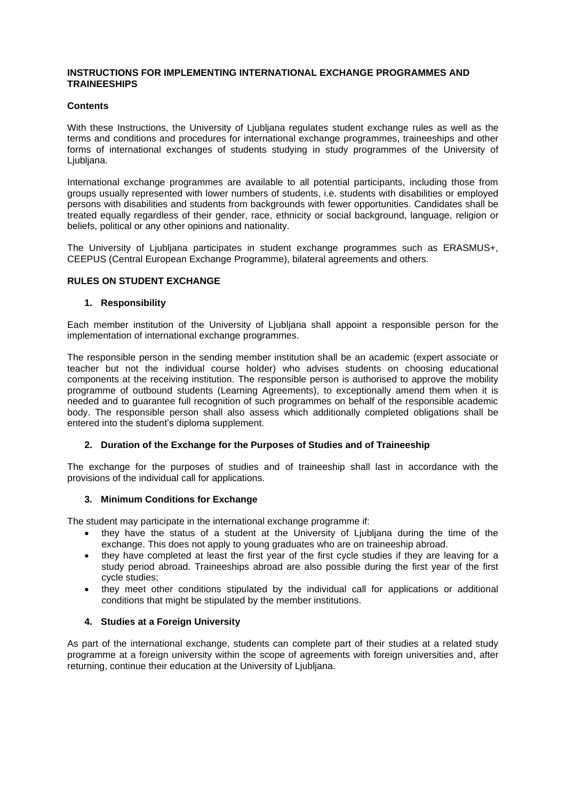#### **INSTRUCTIONS FOR IMPLEMENTING INTERNATIONAL EXCHANGE PROGRAMMES AND TRAINEESHIPS**

### **Contents**

With these Instructions, the University of Ljubljana regulates student exchange rules as well as the terms and conditions and procedures for international exchange programmes, traineeships and other forms of international exchanges of students studying in study programmes of the University of Liubliana.

International exchange programmes are available to all potential participants, including those from groups usually represented with lower numbers of students, i.e. students with disabilities or employed persons with disabilities and students from backgrounds with fewer opportunities. Candidates shall be treated equally regardless of their gender, race, ethnicity or social background, language, religion or beliefs, political or any other opinions and nationality.

The University of Ljubljana participates in student exchange programmes such as ERASMUS+, CEEPUS (Central European Exchange Programme), bilateral agreements and others.

### **RULES ON STUDENT EXCHANGE**

### **1. Responsibility**

Each member institution of the University of Ljubljana shall appoint a responsible person for the implementation of international exchange programmes.

The responsible person in the sending member institution shall be an academic (expert associate or teacher but not the individual course holder) who advises students on choosing educational components at the receiving institution. The responsible person is authorised to approve the mobility programme of outbound students (Learning Agreements), to exceptionally amend them when it is needed and to guarantee full recognition of such programmes on behalf of the responsible academic body. The responsible person shall also assess which additionally completed obligations shall be entered into the student's diploma supplement.

## **2. Duration of the Exchange for the Purposes of Studies and of Traineeship**

The exchange for the purposes of studies and of traineeship shall last in accordance with the provisions of the individual call for applications.

## **3. Minimum Conditions for Exchange**

The student may participate in the international exchange programme if:

- they have the status of a student at the University of Ljubliana during the time of the exchange. This does not apply to young graduates who are on traineeship abroad.
- they have completed at least the first year of the first cycle studies if they are leaving for a study period abroad. Traineeships abroad are also possible during the first year of the first cycle studies;
- they meet other conditions stipulated by the individual call for applications or additional conditions that might be stipulated by the member institutions.

## **4. Studies at a Foreign University**

As part of the international exchange, students can complete part of their studies at a related study programme at a foreign university within the scope of agreements with foreign universities and, after returning, continue their education at the University of Ljubljana.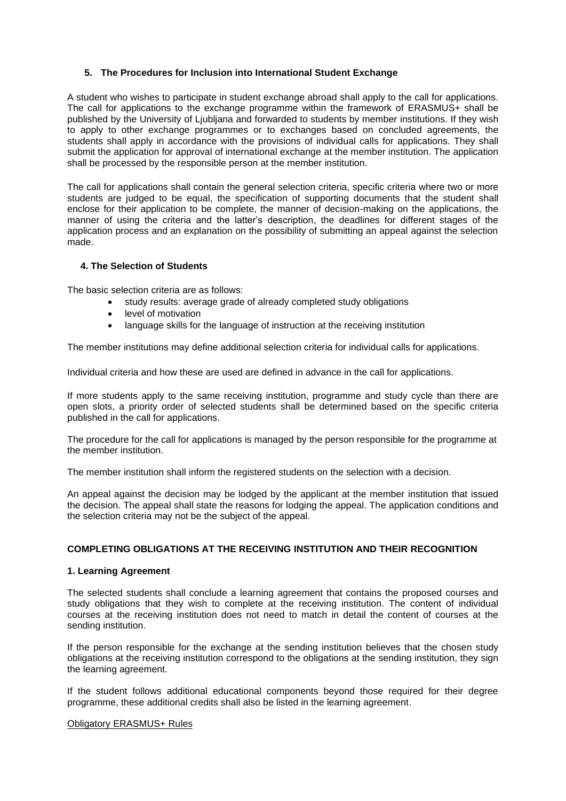## **5. The Procedures for Inclusion into International Student Exchange**

A student who wishes to participate in student exchange abroad shall apply to the call for applications. The call for applications to the exchange programme within the framework of ERASMUS+ shall be published by the University of Ljubljana and forwarded to students by member institutions. If they wish to apply to other exchange programmes or to exchanges based on concluded agreements, the students shall apply in accordance with the provisions of individual calls for applications. They shall submit the application for approval of international exchange at the member institution. The application shall be processed by the responsible person at the member institution.

The call for applications shall contain the general selection criteria, specific criteria where two or more students are judged to be equal, the specification of supporting documents that the student shall enclose for their application to be complete, the manner of decision-making on the applications, the manner of using the criteria and the latter's description, the deadlines for different stages of the application process and an explanation on the possibility of submitting an appeal against the selection made.

# **4. The Selection of Students**

The basic selection criteria are as follows:

- study results: average grade of already completed study obligations
- level of motivation
- language skills for the language of instruction at the receiving institution

The member institutions may define additional selection criteria for individual calls for applications.

Individual criteria and how these are used are defined in advance in the call for applications.

If more students apply to the same receiving institution, programme and study cycle than there are open slots, a priority order of selected students shall be determined based on the specific criteria published in the call for applications.

The procedure for the call for applications is managed by the person responsible for the programme at the member institution.

The member institution shall inform the registered students on the selection with a decision.

An appeal against the decision may be lodged by the applicant at the member institution that issued the decision. The appeal shall state the reasons for lodging the appeal. The application conditions and the selection criteria may not be the subject of the appeal.

## **COMPLETING OBLIGATIONS AT THE RECEIVING INSTITUTION AND THEIR RECOGNITION**

#### **1. Learning Agreement**

The selected students shall conclude a learning agreement that contains the proposed courses and study obligations that they wish to complete at the receiving institution. The content of individual courses at the receiving institution does not need to match in detail the content of courses at the sending institution.

If the person responsible for the exchange at the sending institution believes that the chosen study obligations at the receiving institution correspond to the obligations at the sending institution, they sign the learning agreement.

If the student follows additional educational components beyond those required for their degree programme, these additional credits shall also be listed in the learning agreement.

#### Obligatory ERASMUS+ Rules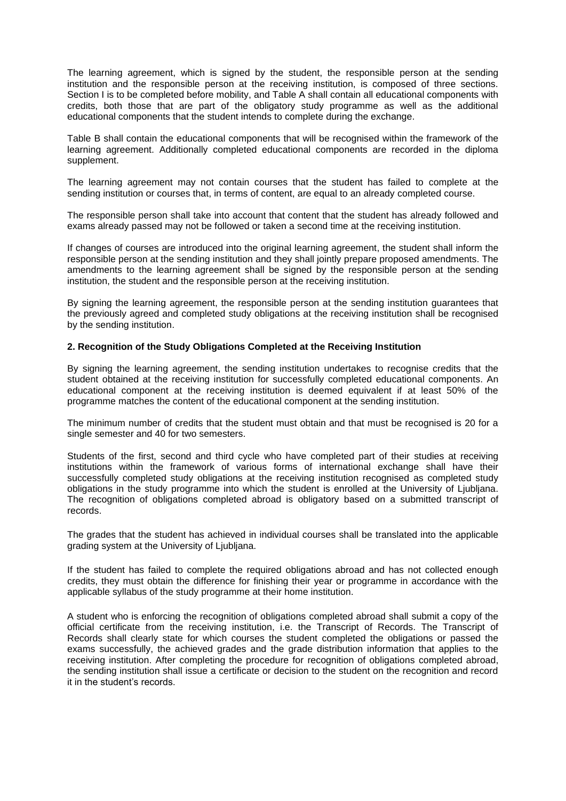The learning agreement, which is signed by the student, the responsible person at the sending institution and the responsible person at the receiving institution, is composed of three sections. Section I is to be completed before mobility, and Table A shall contain all educational components with credits, both those that are part of the obligatory study programme as well as the additional educational components that the student intends to complete during the exchange.

Table B shall contain the educational components that will be recognised within the framework of the learning agreement. Additionally completed educational components are recorded in the diploma supplement.

The learning agreement may not contain courses that the student has failed to complete at the sending institution or courses that, in terms of content, are equal to an already completed course.

The responsible person shall take into account that content that the student has already followed and exams already passed may not be followed or taken a second time at the receiving institution.

If changes of courses are introduced into the original learning agreement, the student shall inform the responsible person at the sending institution and they shall jointly prepare proposed amendments. The amendments to the learning agreement shall be signed by the responsible person at the sending institution, the student and the responsible person at the receiving institution.

By signing the learning agreement, the responsible person at the sending institution guarantees that the previously agreed and completed study obligations at the receiving institution shall be recognised by the sending institution.

#### **2. Recognition of the Study Obligations Completed at the Receiving Institution**

By signing the learning agreement, the sending institution undertakes to recognise credits that the student obtained at the receiving institution for successfully completed educational components. An educational component at the receiving institution is deemed equivalent if at least 50% of the programme matches the content of the educational component at the sending institution.

The minimum number of credits that the student must obtain and that must be recognised is 20 for a single semester and 40 for two semesters.

Students of the first, second and third cycle who have completed part of their studies at receiving institutions within the framework of various forms of international exchange shall have their successfully completed study obligations at the receiving institution recognised as completed study obligations in the study programme into which the student is enrolled at the University of Ljubljana. The recognition of obligations completed abroad is obligatory based on a submitted transcript of records.

The grades that the student has achieved in individual courses shall be translated into the applicable grading system at the University of Ljubljana.

If the student has failed to complete the required obligations abroad and has not collected enough credits, they must obtain the difference for finishing their year or programme in accordance with the applicable syllabus of the study programme at their home institution.

A student who is enforcing the recognition of obligations completed abroad shall submit a copy of the official certificate from the receiving institution, i.e. the Transcript of Records. The Transcript of Records shall clearly state for which courses the student completed the obligations or passed the exams successfully, the achieved grades and the grade distribution information that applies to the receiving institution. After completing the procedure for recognition of obligations completed abroad, the sending institution shall issue a certificate or decision to the student on the recognition and record it in the student's records.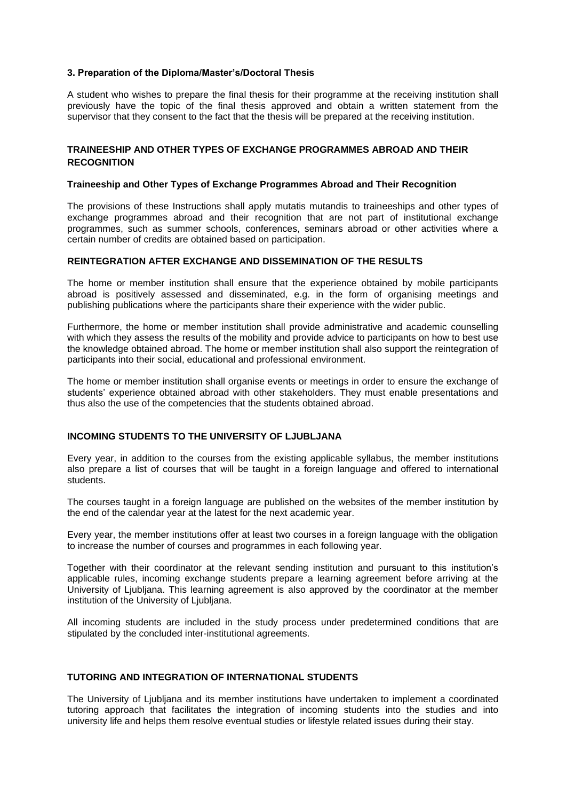#### **3. Preparation of the Diploma/Master's/Doctoral Thesis**

A student who wishes to prepare the final thesis for their programme at the receiving institution shall previously have the topic of the final thesis approved and obtain a written statement from the supervisor that they consent to the fact that the thesis will be prepared at the receiving institution.

### **TRAINEESHIP AND OTHER TYPES OF EXCHANGE PROGRAMMES ABROAD AND THEIR RECOGNITION**

#### **Traineeship and Other Types of Exchange Programmes Abroad and Their Recognition**

The provisions of these Instructions shall apply mutatis mutandis to traineeships and other types of exchange programmes abroad and their recognition that are not part of institutional exchange programmes, such as summer schools, conferences, seminars abroad or other activities where a certain number of credits are obtained based on participation.

### **REINTEGRATION AFTER EXCHANGE AND DISSEMINATION OF THE RESULTS**

The home or member institution shall ensure that the experience obtained by mobile participants abroad is positively assessed and disseminated, e.g. in the form of organising meetings and publishing publications where the participants share their experience with the wider public.

Furthermore, the home or member institution shall provide administrative and academic counselling with which they assess the results of the mobility and provide advice to participants on how to best use the knowledge obtained abroad. The home or member institution shall also support the reintegration of participants into their social, educational and professional environment.

The home or member institution shall organise events or meetings in order to ensure the exchange of students' experience obtained abroad with other stakeholders. They must enable presentations and thus also the use of the competencies that the students obtained abroad.

#### **INCOMING STUDENTS TO THE UNIVERSITY OF LJUBLJANA**

Every year, in addition to the courses from the existing applicable syllabus, the member institutions also prepare a list of courses that will be taught in a foreign language and offered to international students.

The courses taught in a foreign language are published on the websites of the member institution by the end of the calendar year at the latest for the next academic year.

Every year, the member institutions offer at least two courses in a foreign language with the obligation to increase the number of courses and programmes in each following year.

Together with their coordinator at the relevant sending institution and pursuant to this institution's applicable rules, incoming exchange students prepare a learning agreement before arriving at the University of Ljubljana. This learning agreement is also approved by the coordinator at the member institution of the University of Ljubljana.

All incoming students are included in the study process under predetermined conditions that are stipulated by the concluded inter-institutional agreements.

## **TUTORING AND INTEGRATION OF INTERNATIONAL STUDENTS**

The University of Ljubljana and its member institutions have undertaken to implement a coordinated tutoring approach that facilitates the integration of incoming students into the studies and into university life and helps them resolve eventual studies or lifestyle related issues during their stay.